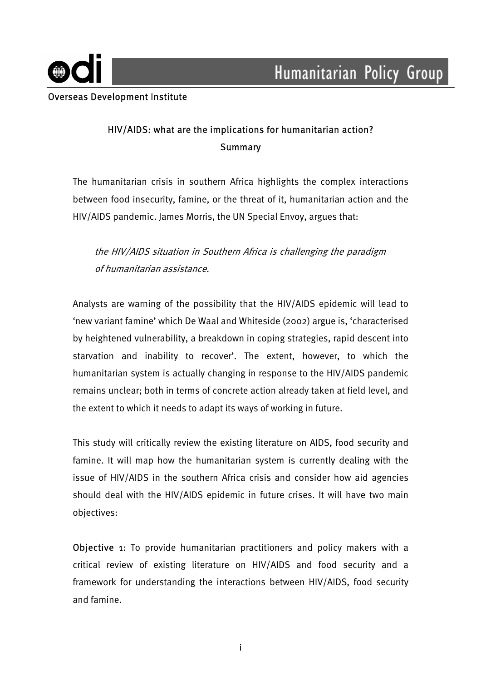

## HIV/AIDS: what are the implications for humanitarian action? **Summary**

The humanitarian crisis in southern Africa highlights the complex interactions between food insecurity, famine, or the threat of it, humanitarian action and the HIV/AIDS pandemic. James Morris, the UN Special Envoy, argues that:

# the HIV/AIDS situation in Southern Africa is challenging the paradigm of humanitarian assistance.

Analysts are warning of the possibility that the HIV/AIDS epidemic will lead to 'new variant famine' which De Waal and Whiteside (2002) argue is, 'characterised by heightened vulnerability, a breakdown in coping strategies, rapid descent into starvation and inability to recover'. The extent, however, to which the humanitarian system is actually changing in response to the HIV/AIDS pandemic remains unclear; both in terms of concrete action already taken at field level, and the extent to which it needs to adapt its ways of working in future.

This study will critically review the existing literature on AIDS, food security and famine. It will map how the humanitarian system is currently dealing with the issue of HIV/AIDS in the southern Africa crisis and consider how aid agencies should deal with the HIV/AIDS epidemic in future crises. It will have two main objectives:

Objective 1: To provide humanitarian practitioners and policy makers with a critical review of existing literature on HIV/AIDS and food security and a framework for understanding the interactions between HIV/AIDS, food security and famine.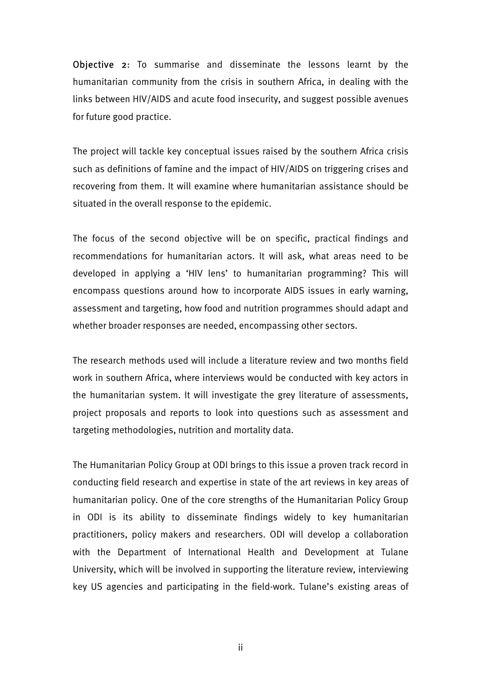Objective 2: To summarise and disseminate the lessons learnt by the humanitarian community from the crisis in southern Africa, in dealing with the links between HIV/AIDS and acute food insecurity, and suggest possible avenues for future good practice.

The project will tackle key conceptual issues raised by the southern Africa crisis such as definitions of famine and the impact of HIV/AIDS on triggering crises and recovering from them. It will examine where humanitarian assistance should be situated in the overall response to the epidemic.

The focus of the second objective will be on specific, practical findings and recommendations for humanitarian actors. It will ask, what areas need to be developed in applying a 'HIV lens' to humanitarian programming? This will encompass questions around how to incorporate AIDS issues in early warning, assessment and targeting, how food and nutrition programmes should adapt and whether broader responses are needed, encompassing other sectors.

The research methods used will include a literature review and two months field work in southern Africa, where interviews would be conducted with key actors in the humanitarian system. It will investigate the grey literature of assessments, project proposals and reports to look into questions such as assessment and targeting methodologies, nutrition and mortality data.

The Humanitarian Policy Group at ODI brings to this issue a proven track record in conducting field research and expertise in state of the art reviews in key areas of humanitarian policy. One of the core strengths of the Humanitarian Policy Group in ODI is its ability to disseminate findings widely to key humanitarian practitioners, policy makers and researchers. ODI will develop a collaboration with the Department of International Health and Development at Tulane University, which will be involved in supporting the literature review, interviewing key US agencies and participating in the field-work. Tulane's existing areas of

ii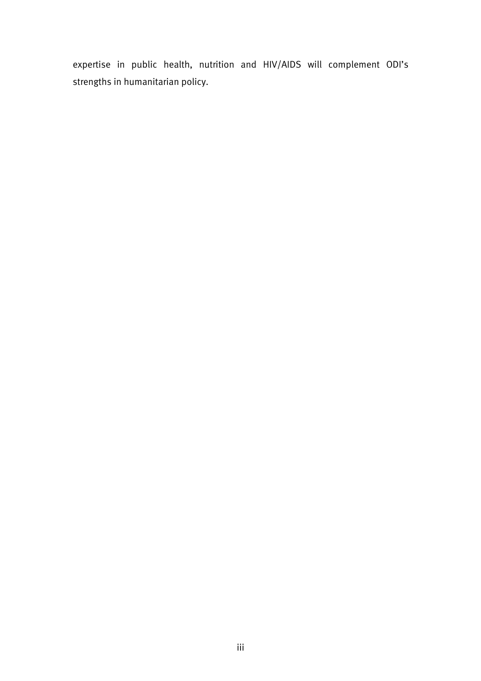expertise in public health, nutrition and HIV/AIDS will complement ODI's strengths in humanitarian policy.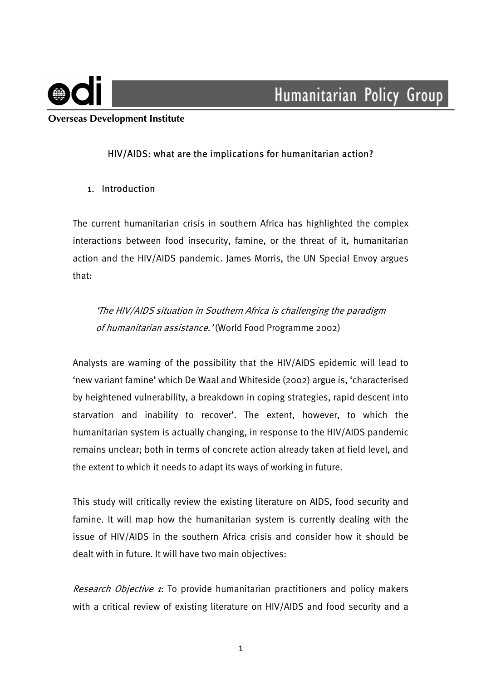

 **Overseas Development Institute** 

## HIV/AIDS: what are the implications for humanitarian action?

### 1. Introduction

The current humanitarian crisis in southern Africa has highlighted the complex interactions between food insecurity, famine, or the threat of it, humanitarian action and the HIV/AIDS pandemic. James Morris, the UN Special Envoy argues that:

'The HIV/AIDS situation in Southern Africa is challenging the paradigm of humanitarian assistance.' (World Food Programme 2002)

Analysts are warning of the possibility that the HIV/AIDS epidemic will lead to 'new variant famine' which De Waal and Whiteside (2002) argue is, 'characterised by heightened vulnerability, a breakdown in coping strategies, rapid descent into starvation and inability to recover'. The extent, however, to which the humanitarian system is actually changing, in response to the HIV/AIDS pandemic remains unclear; both in terms of concrete action already taken at field level, and the extent to which it needs to adapt its ways of working in future.

This study will critically review the existing literature on AIDS, food security and famine. It will map how the humanitarian system is currently dealing with the issue of HIV/AIDS in the southern Africa crisis and consider how it should be dealt with in future. It will have two main objectives:

Research Objective 1: To provide humanitarian practitioners and policy makers with a critical review of existing literature on HIV/AIDS and food security and a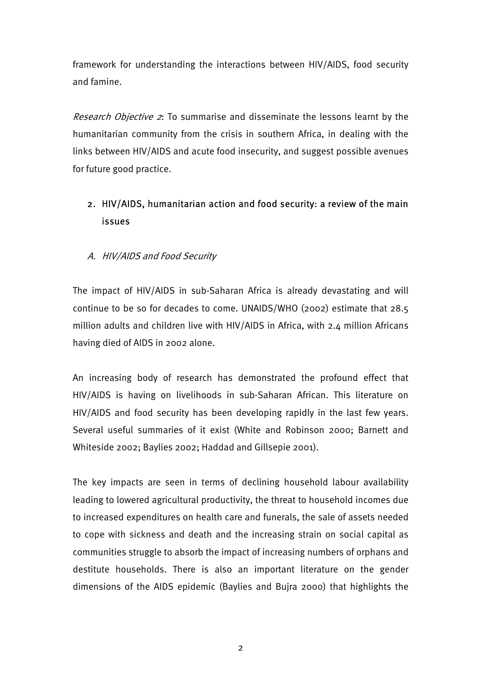framework for understanding the interactions between HIV/AIDS, food security and famine.

Research Objective 2: To summarise and disseminate the lessons learnt by the humanitarian community from the crisis in southern Africa, in dealing with the links between HIV/AIDS and acute food insecurity, and suggest possible avenues for future good practice.

# 2. HIV/AIDS, humanitarian action and food security: a review of the main issues

## A. HIV/AIDS and Food Security

The impact of HIV/AIDS in sub-Saharan Africa is already devastating and will continue to be so for decades to come. UNAIDS/WHO (2002) estimate that 28.5 million adults and children live with HIV/AIDS in Africa, with 2.4 million Africans having died of AIDS in 2002 alone.

An increasing body of research has demonstrated the profound effect that HIV/AIDS is having on livelihoods in sub-Saharan African. This literature on HIV/AIDS and food security has been developing rapidly in the last few years. Several useful summaries of it exist (White and Robinson 2000; Barnett and Whiteside 2002; Baylies 2002; Haddad and Gillsepie 2001).

The key impacts are seen in terms of declining household labour availability leading to lowered agricultural productivity, the threat to household incomes due to increased expenditures on health care and funerals, the sale of assets needed to cope with sickness and death and the increasing strain on social capital as communities struggle to absorb the impact of increasing numbers of orphans and destitute households. There is also an important literature on the gender dimensions of the AIDS epidemic (Baylies and Bujra 2000) that highlights the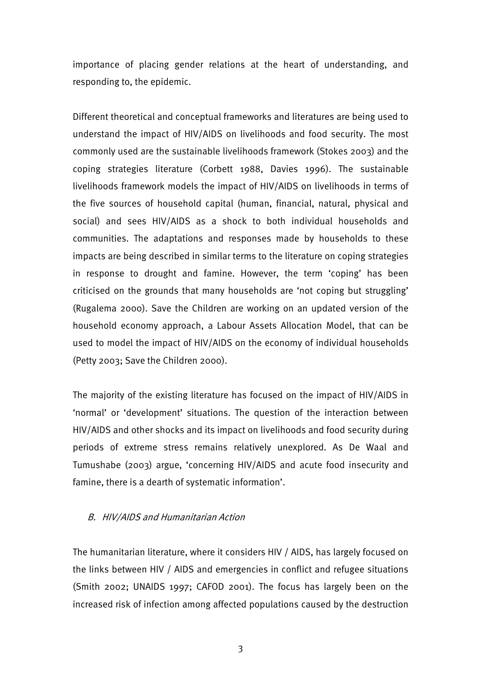importance of placing gender relations at the heart of understanding, and responding to, the epidemic.

Different theoretical and conceptual frameworks and literatures are being used to understand the impact of HIV/AIDS on livelihoods and food security. The most commonly used are the sustainable livelihoods framework (Stokes 2003) and the coping strategies literature (Corbett 1988, Davies 1996). The sustainable livelihoods framework models the impact of HIV/AIDS on livelihoods in terms of the five sources of household capital (human, financial, natural, physical and social) and sees HIV/AIDS as a shock to both individual households and communities. The adaptations and responses made by households to these impacts are being described in similar terms to the literature on coping strategies in response to drought and famine. However, the term 'coping' has been criticised on the grounds that many households are 'not coping but struggling' (Rugalema 2000). Save the Children are working on an updated version of the household economy approach, a Labour Assets Allocation Model, that can be used to model the impact of HIV/AIDS on the economy of individual households (Petty 2003; Save the Children 2000).

The majority of the existing literature has focused on the impact of HIV/AIDS in 'normal' or 'development' situations. The question of the interaction between HIV/AIDS and other shocks and its impact on livelihoods and food security during periods of extreme stress remains relatively unexplored. As De Waal and Tumushabe (2003) argue, 'concerning HIV/AIDS and acute food insecurity and famine, there is a dearth of systematic information'.

### B. HIV/AIDS and Humanitarian Action

The humanitarian literature, where it considers HIV / AIDS, has largely focused on the links between HIV / AIDS and emergencies in conflict and refugee situations (Smith 2002; UNAIDS 1997; CAFOD 2001). The focus has largely been on the increased risk of infection among affected populations caused by the destruction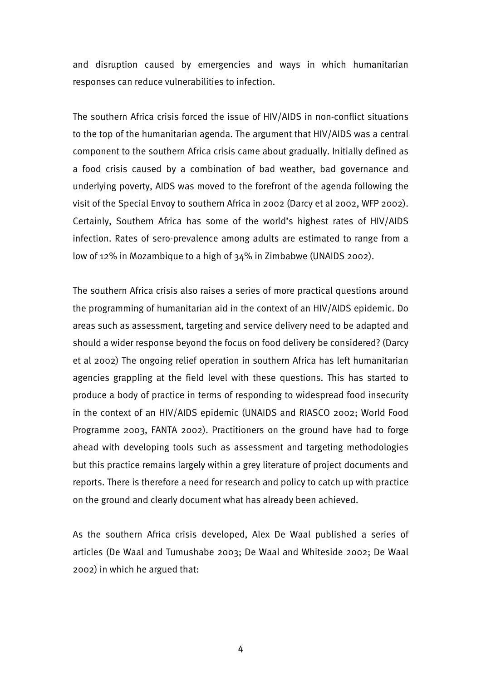and disruption caused by emergencies and ways in which humanitarian responses can reduce vulnerabilities to infection.

The southern Africa crisis forced the issue of HIV/AIDS in non-conflict situations to the top of the humanitarian agenda. The argument that HIV/AIDS was a central component to the southern Africa crisis came about gradually. Initially defined as a food crisis caused by a combination of bad weather, bad governance and underlying poverty, AIDS was moved to the forefront of the agenda following the visit of the Special Envoy to southern Africa in 2002 (Darcy et al 2002, WFP 2002). Certainly, Southern Africa has some of the world's highest rates of HIV/AIDS infection. Rates of sero-prevalence among adults are estimated to range from a low of 12% in Mozambique to a high of 34% in Zimbabwe (UNAIDS 2002).

The southern Africa crisis also raises a series of more practical questions around the programming of humanitarian aid in the context of an HIV/AIDS epidemic. Do areas such as assessment, targeting and service delivery need to be adapted and should a wider response beyond the focus on food delivery be considered? (Darcy et al 2002) The ongoing relief operation in southern Africa has left humanitarian agencies grappling at the field level with these questions. This has started to produce a body of practice in terms of responding to widespread food insecurity in the context of an HIV/AIDS epidemic (UNAIDS and RIASCO 2002; World Food Programme 2003, FANTA 2002). Practitioners on the ground have had to forge ahead with developing tools such as assessment and targeting methodologies but this practice remains largely within a grey literature of project documents and reports. There is therefore a need for research and policy to catch up with practice on the ground and clearly document what has already been achieved.

As the southern Africa crisis developed, Alex De Waal published a series of articles (De Waal and Tumushabe 2003; De Waal and Whiteside 2002; De Waal 2002) in which he argued that:

4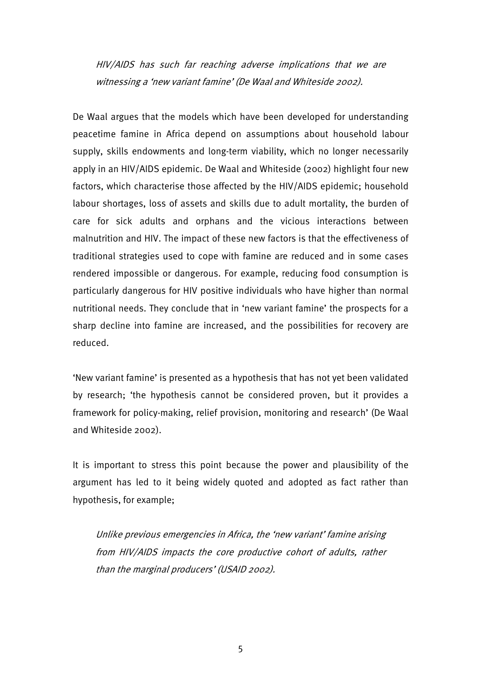HIV/AIDS has such far reaching adverse implications that we are witnessing a 'new variant famine' (De Waal and Whiteside 2002).

De Waal argues that the models which have been developed for understanding peacetime famine in Africa depend on assumptions about household labour supply, skills endowments and long-term viability, which no longer necessarily apply in an HIV/AIDS epidemic. De Waal and Whiteside (2002) highlight four new factors, which characterise those affected by the HIV/AIDS epidemic; household labour shortages, loss of assets and skills due to adult mortality, the burden of care for sick adults and orphans and the vicious interactions between malnutrition and HIV. The impact of these new factors is that the effectiveness of traditional strategies used to cope with famine are reduced and in some cases rendered impossible or dangerous. For example, reducing food consumption is particularly dangerous for HIV positive individuals who have higher than normal nutritional needs. They conclude that in 'new variant famine' the prospects for a sharp decline into famine are increased, and the possibilities for recovery are reduced.

'New variant famine' is presented as a hypothesis that has not yet been validated by research; 'the hypothesis cannot be considered proven, but it provides a framework for policy-making, relief provision, monitoring and research' (De Waal and Whiteside 2002).

It is important to stress this point because the power and plausibility of the argument has led to it being widely quoted and adopted as fact rather than hypothesis, for example;

Unlike previous emergencies in Africa, the 'new variant' famine arising from HIV/AIDS impacts the core productive cohort of adults, rather than the marginal producers' (USAID 2002).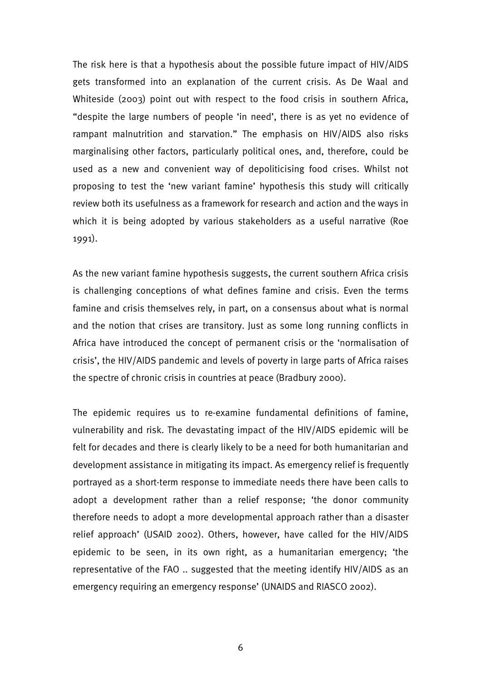The risk here is that a hypothesis about the possible future impact of HIV/AIDS gets transformed into an explanation of the current crisis. As De Waal and Whiteside (2003) point out with respect to the food crisis in southern Africa, "despite the large numbers of people 'in need', there is as yet no evidence of rampant malnutrition and starvation." The emphasis on HIV/AIDS also risks marginalising other factors, particularly political ones, and, therefore, could be used as a new and convenient way of depoliticising food crises. Whilst not proposing to test the 'new variant famine' hypothesis this study will critically review both its usefulness as a framework for research and action and the ways in which it is being adopted by various stakeholders as a useful narrative (Roe 1991).

As the new variant famine hypothesis suggests, the current southern Africa crisis is challenging conceptions of what defines famine and crisis. Even the terms famine and crisis themselves rely, in part, on a consensus about what is normal and the notion that crises are transitory. Just as some long running conflicts in Africa have introduced the concept of permanent crisis or the 'normalisation of crisis', the HIV/AIDS pandemic and levels of poverty in large parts of Africa raises the spectre of chronic crisis in countries at peace (Bradbury 2000).

The epidemic requires us to re-examine fundamental definitions of famine, vulnerability and risk. The devastating impact of the HIV/AIDS epidemic will be felt for decades and there is clearly likely to be a need for both humanitarian and development assistance in mitigating its impact. As emergency relief is frequently portrayed as a short-term response to immediate needs there have been calls to adopt a development rather than a relief response; 'the donor community therefore needs to adopt a more developmental approach rather than a disaster relief approach' (USAID 2002). Others, however, have called for the HIV/AIDS epidemic to be seen, in its own right, as a humanitarian emergency; 'the representative of the FAO .. suggested that the meeting identify HIV/AIDS as an emergency requiring an emergency response' (UNAIDS and RIASCO 2002).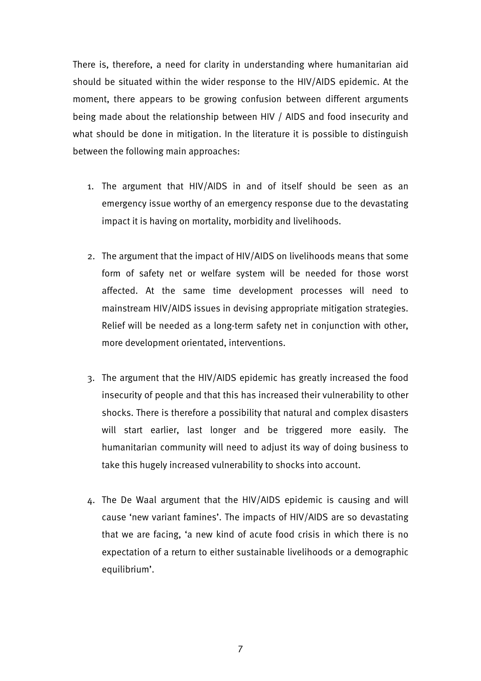There is, therefore, a need for clarity in understanding where humanitarian aid should be situated within the wider response to the HIV/AIDS epidemic. At the moment, there appears to be growing confusion between different arguments being made about the relationship between HIV / AIDS and food insecurity and what should be done in mitigation. In the literature it is possible to distinguish between the following main approaches:

- 1. The argument that HIV/AIDS in and of itself should be seen as an emergency issue worthy of an emergency response due to the devastating impact it is having on mortality, morbidity and livelihoods.
- 2. The argument that the impact of HIV/AIDS on livelihoods means that some form of safety net or welfare system will be needed for those worst affected. At the same time development processes will need to mainstream HIV/AIDS issues in devising appropriate mitigation strategies. Relief will be needed as a long-term safety net in conjunction with other, more development orientated, interventions.
- 3. The argument that the HIV/AIDS epidemic has greatly increased the food insecurity of people and that this has increased their vulnerability to other shocks. There is therefore a possibility that natural and complex disasters will start earlier, last longer and be triggered more easily. The humanitarian community will need to adjust its way of doing business to take this hugely increased vulnerability to shocks into account.
- 4. The De Waal argument that the HIV/AIDS epidemic is causing and will cause 'new variant famines'. The impacts of HIV/AIDS are so devastating that we are facing, 'a new kind of acute food crisis in which there is no expectation of a return to either sustainable livelihoods or a demographic equilibrium'.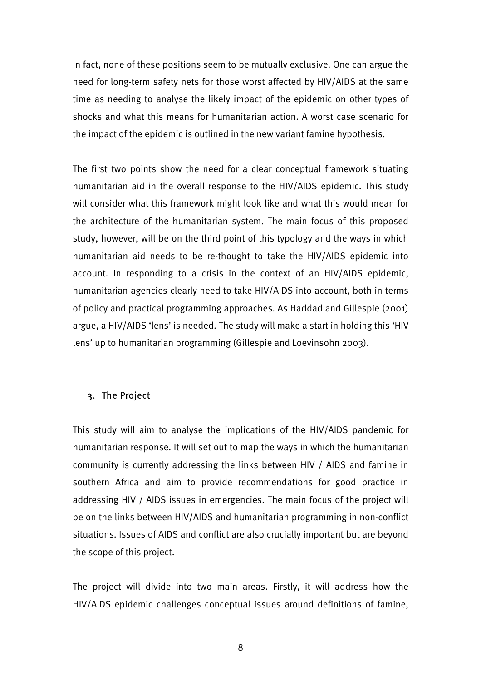In fact, none of these positions seem to be mutually exclusive. One can argue the need for long-term safety nets for those worst affected by HIV/AIDS at the same time as needing to analyse the likely impact of the epidemic on other types of shocks and what this means for humanitarian action. A worst case scenario for the impact of the epidemic is outlined in the new variant famine hypothesis.

The first two points show the need for a clear conceptual framework situating humanitarian aid in the overall response to the HIV/AIDS epidemic. This study will consider what this framework might look like and what this would mean for the architecture of the humanitarian system. The main focus of this proposed study, however, will be on the third point of this typology and the ways in which humanitarian aid needs to be re-thought to take the HIV/AIDS epidemic into account. In responding to a crisis in the context of an HIV/AIDS epidemic, humanitarian agencies clearly need to take HIV/AIDS into account, both in terms of policy and practical programming approaches. As Haddad and Gillespie (2001) argue, a HIV/AIDS 'lens' is needed. The study will make a start in holding this 'HIV lens' up to humanitarian programming (Gillespie and Loevinsohn 2003).

### 3. The Project

This study will aim to analyse the implications of the HIV/AIDS pandemic for humanitarian response. It will set out to map the ways in which the humanitarian community is currently addressing the links between HIV / AIDS and famine in southern Africa and aim to provide recommendations for good practice in addressing HIV / AIDS issues in emergencies. The main focus of the project will be on the links between HIV/AIDS and humanitarian programming in non-conflict situations. Issues of AIDS and conflict are also crucially important but are beyond the scope of this project.

The project will divide into two main areas. Firstly, it will address how the HIV/AIDS epidemic challenges conceptual issues around definitions of famine,

8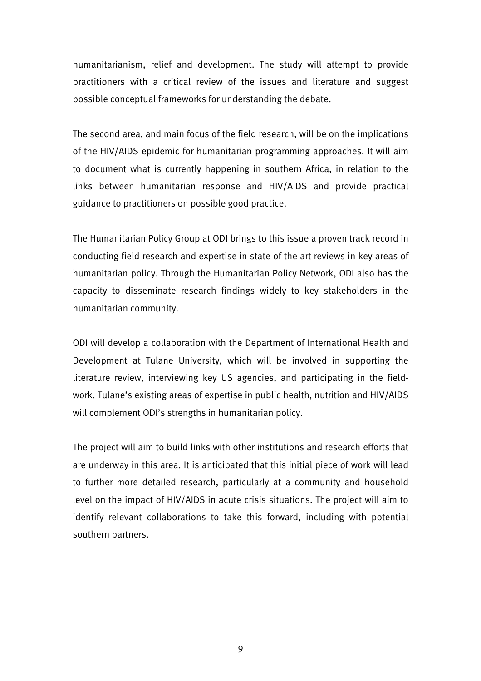humanitarianism, relief and development. The study will attempt to provide practitioners with a critical review of the issues and literature and suggest possible conceptual frameworks for understanding the debate.

The second area, and main focus of the field research, will be on the implications of the HIV/AIDS epidemic for humanitarian programming approaches. It will aim to document what is currently happening in southern Africa, in relation to the links between humanitarian response and HIV/AIDS and provide practical guidance to practitioners on possible good practice.

The Humanitarian Policy Group at ODI brings to this issue a proven track record in conducting field research and expertise in state of the art reviews in key areas of humanitarian policy. Through the Humanitarian Policy Network, ODI also has the capacity to disseminate research findings widely to key stakeholders in the humanitarian community.

ODI will develop a collaboration with the Department of International Health and Development at Tulane University, which will be involved in supporting the literature review, interviewing key US agencies, and participating in the fieldwork. Tulane's existing areas of expertise in public health, nutrition and HIV/AIDS will complement ODI's strengths in humanitarian policy.

The project will aim to build links with other institutions and research efforts that are underway in this area. It is anticipated that this initial piece of work will lead to further more detailed research, particularly at a community and household level on the impact of HIV/AIDS in acute crisis situations. The project will aim to identify relevant collaborations to take this forward, including with potential southern partners.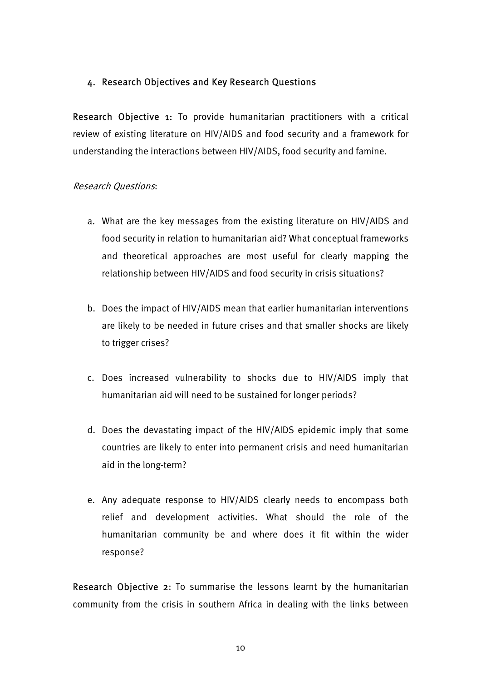## 4. Research Objectives and Key Research Questions

Research Objective 1: To provide humanitarian practitioners with a critical review of existing literature on HIV/AIDS and food security and a framework for understanding the interactions between HIV/AIDS, food security and famine.

### Research Questions:

- a. What are the key messages from the existing literature on HIV/AIDS and food security in relation to humanitarian aid? What conceptual frameworks and theoretical approaches are most useful for clearly mapping the relationship between HIV/AIDS and food security in crisis situations?
- b. Does the impact of HIV/AIDS mean that earlier humanitarian interventions are likely to be needed in future crises and that smaller shocks are likely to trigger crises?
- c. Does increased vulnerability to shocks due to HIV/AIDS imply that humanitarian aid will need to be sustained for longer periods?
- d. Does the devastating impact of the HIV/AIDS epidemic imply that some countries are likely to enter into permanent crisis and need humanitarian aid in the long-term?
- e. Any adequate response to HIV/AIDS clearly needs to encompass both relief and development activities. What should the role of the humanitarian community be and where does it fit within the wider response?

Research Objective 2: To summarise the lessons learnt by the humanitarian community from the crisis in southern Africa in dealing with the links between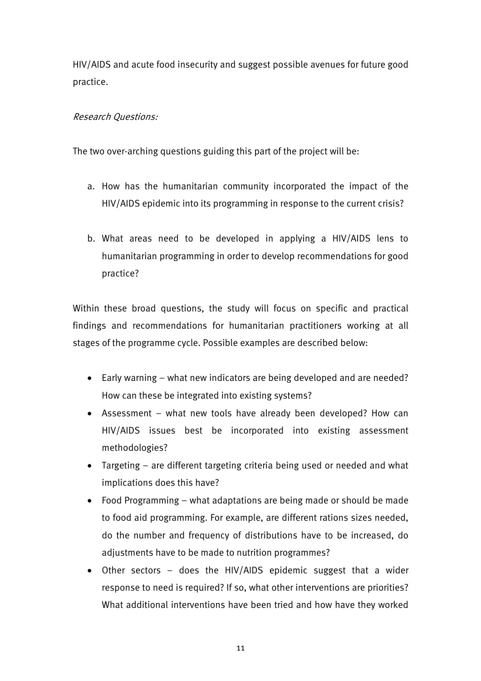HIV/AIDS and acute food insecurity and suggest possible avenues for future good practice.

## Research Questions:

The two over-arching questions guiding this part of the project will be:

- a. How has the humanitarian community incorporated the impact of the HIV/AIDS epidemic into its programming in response to the current crisis?
- b. What areas need to be developed in applying a HIV/AIDS lens to humanitarian programming in order to develop recommendations for good practice?

Within these broad questions, the study will focus on specific and practical findings and recommendations for humanitarian practitioners working at all stages of the programme cycle. Possible examples are described below:

- Early warning what new indicators are being developed and are needed? How can these be integrated into existing systems?
- Assessment what new tools have already been developed? How can HIV/AIDS issues best be incorporated into existing assessment methodologies?
- Targeting are different targeting criteria being used or needed and what implications does this have?
- Food Programming what adaptations are being made or should be made to food aid programming. For example, are different rations sizes needed, do the number and frequency of distributions have to be increased, do adjustments have to be made to nutrition programmes?
- Other sectors does the HIV/AIDS epidemic suggest that a wider response to need is required? If so, what other interventions are priorities? What additional interventions have been tried and how have they worked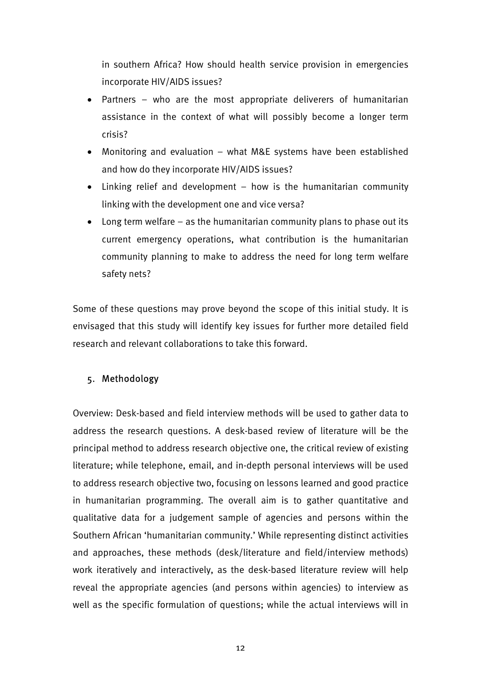in southern Africa? How should health service provision in emergencies incorporate HIV/AIDS issues?

- Partners who are the most appropriate deliverers of humanitarian assistance in the context of what will possibly become a longer term crisis?
- Monitoring and evaluation what M&E systems have been established and how do they incorporate HIV/AIDS issues?
- Linking relief and development how is the humanitarian community linking with the development one and vice versa?
- Long term welfare as the humanitarian community plans to phase out its current emergency operations, what contribution is the humanitarian community planning to make to address the need for long term welfare safety nets?

Some of these questions may prove beyond the scope of this initial study. It is envisaged that this study will identify key issues for further more detailed field research and relevant collaborations to take this forward.

## 5. Methodology

Overview: Desk-based and field interview methods will be used to gather data to address the research questions. A desk-based review of literature will be the principal method to address research objective one, the critical review of existing literature; while telephone, email, and in-depth personal interviews will be used to address research objective two, focusing on lessons learned and good practice in humanitarian programming. The overall aim is to gather quantitative and qualitative data for a judgement sample of agencies and persons within the Southern African 'humanitarian community.' While representing distinct activities and approaches, these methods (desk/literature and field/interview methods) work iteratively and interactively, as the desk-based literature review will help reveal the appropriate agencies (and persons within agencies) to interview as well as the specific formulation of questions; while the actual interviews will in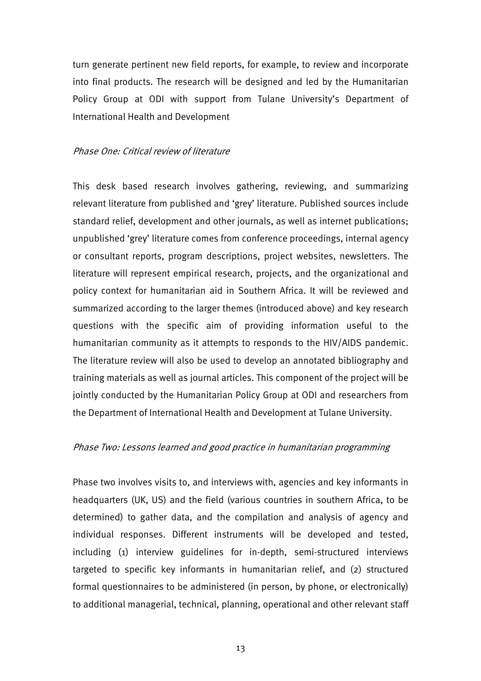turn generate pertinent new field reports, for example, to review and incorporate into final products. The research will be designed and led by the Humanitarian Policy Group at ODI with support from Tulane University's Department of International Health and Development

#### Phase One: Critical review of literature

This desk based research involves gathering, reviewing, and summarizing relevant literature from published and 'grey' literature. Published sources include standard relief, development and other journals, as well as internet publications; unpublished 'grey' literature comes from conference proceedings, internal agency or consultant reports, program descriptions, project websites, newsletters. The literature will represent empirical research, projects, and the organizational and policy context for humanitarian aid in Southern Africa. It will be reviewed and summarized according to the larger themes (introduced above) and key research questions with the specific aim of providing information useful to the humanitarian community as it attempts to responds to the HIV/AIDS pandemic. The literature review will also be used to develop an annotated bibliography and training materials as well as journal articles. This component of the project will be jointly conducted by the Humanitarian Policy Group at ODI and researchers from the Department of International Health and Development at Tulane University.

#### Phase Two: Lessons learned and good practice in humanitarian programming

Phase two involves visits to, and interviews with, agencies and key informants in headquarters (UK, US) and the field (various countries in southern Africa, to be determined) to gather data, and the compilation and analysis of agency and individual responses. Different instruments will be developed and tested, including (1) interview guidelines for in-depth, semi-structured interviews targeted to specific key informants in humanitarian relief, and (2) structured formal questionnaires to be administered (in person, by phone, or electronically) to additional managerial, technical, planning, operational and other relevant staff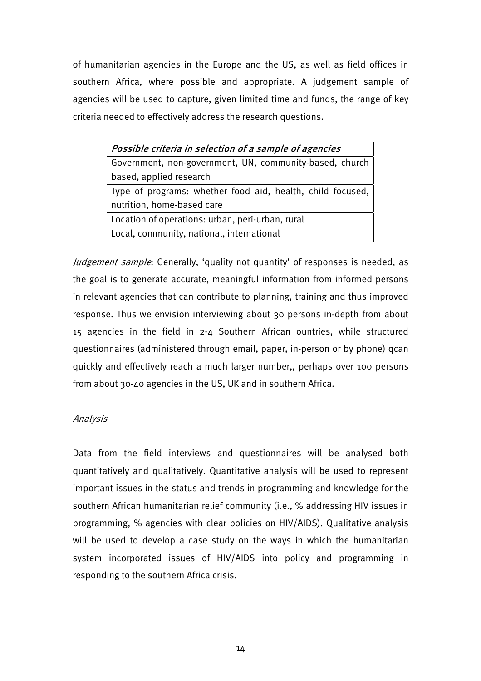of humanitarian agencies in the Europe and the US, as well as field offices in southern Africa, where possible and appropriate. A judgement sample of agencies will be used to capture, given limited time and funds, the range of key criteria needed to effectively address the research questions.

| Possible criteria in selection of a sample of agencies     |  |  |  |  |  |
|------------------------------------------------------------|--|--|--|--|--|
| Government, non-government, UN, community-based, church    |  |  |  |  |  |
| based, applied research                                    |  |  |  |  |  |
| Type of programs: whether food aid, health, child focused, |  |  |  |  |  |
| nutrition, home-based care                                 |  |  |  |  |  |
| Location of operations: urban, peri-urban, rural           |  |  |  |  |  |
| Local, community, national, international                  |  |  |  |  |  |

Judgement sample: Generally, 'quality not quantity' of responses is needed, as the goal is to generate accurate, meaningful information from informed persons in relevant agencies that can contribute to planning, training and thus improved response. Thus we envision interviewing about 30 persons in-depth from about 15 agencies in the field in 2-4 Southern African ountries, while structured questionnaires (administered through email, paper, in-person or by phone) qcan quickly and effectively reach a much larger number,, perhaps over 100 persons from about 30-40 agencies in the US, UK and in southern Africa.

### Analysis

Data from the field interviews and questionnaires will be analysed both quantitatively and qualitatively. Quantitative analysis will be used to represent important issues in the status and trends in programming and knowledge for the southern African humanitarian relief community (i.e., % addressing HIV issues in programming, % agencies with clear policies on HIV/AIDS). Qualitative analysis will be used to develop a case study on the ways in which the humanitarian system incorporated issues of HIV/AIDS into policy and programming in responding to the southern Africa crisis.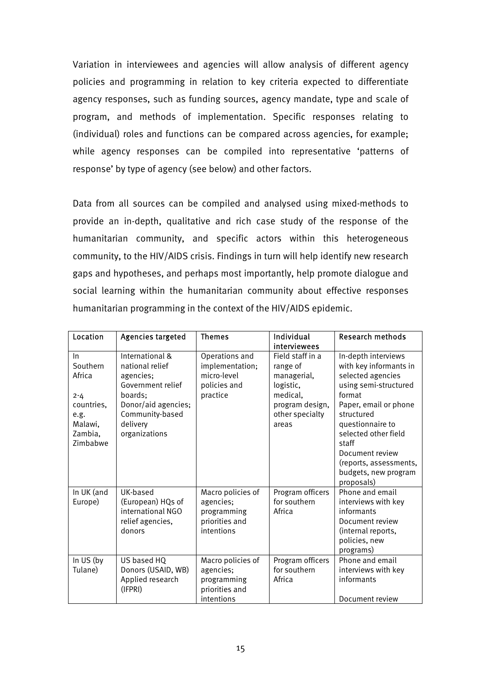Variation in interviewees and agencies will allow analysis of different agency policies and programming in relation to key criteria expected to differentiate agency responses, such as funding sources, agency mandate, type and scale of program, and methods of implementation. Specific responses relating to (individual) roles and functions can be compared across agencies, for example; while agency responses can be compiled into representative 'patterns of response' by type of agency (see below) and other factors.

Data from all sources can be compiled and analysed using mixed-methods to provide an in-depth, qualitative and rich case study of the response of the humanitarian community, and specific actors within this heterogeneous community, to the HIV/AIDS crisis. Findings in turn will help identify new research gaps and hypotheses, and perhaps most importantly, help promote dialogue and social learning within the humanitarian community about effective responses humanitarian programming in the context of the HIV/AIDS epidemic.

| Location                                                                                       | Agencies targeted                                                                                                                                      | <b>Themes</b>                                                                 | Individual<br>interviewees                                                                                          | <b>Research methods</b>                                                                                                                                                                                                                                                              |
|------------------------------------------------------------------------------------------------|--------------------------------------------------------------------------------------------------------------------------------------------------------|-------------------------------------------------------------------------------|---------------------------------------------------------------------------------------------------------------------|--------------------------------------------------------------------------------------------------------------------------------------------------------------------------------------------------------------------------------------------------------------------------------------|
| $\ln$<br>Southern<br>Africa<br>$2 - 4$<br>countries,<br>e.g.<br>Malawi,<br>Zambia,<br>Zimbabwe | International &<br>national relief<br>agencies;<br>Government relief<br>boards;<br>Donor/aid agencies;<br>Community-based<br>delivery<br>organizations | Operations and<br>implementation;<br>micro-level<br>policies and<br>practice  | Field staff in a<br>range of<br>managerial,<br>logistic,<br>medical,<br>program design,<br>other specialty<br>areas | In-depth interviews<br>with key informants in<br>selected agencies<br>using semi-structured<br>format<br>Paper, email or phone<br>structured<br>questionnaire to<br>selected other field<br>staff<br>Document review<br>(reports, assessments,<br>budgets, new program<br>proposals) |
| In UK (and<br>Europe)                                                                          | UK-based<br>(European) HQs of<br>international NGO<br>relief agencies,<br>donors                                                                       | Macro policies of<br>agencies;<br>programming<br>priorities and<br>intentions | Program officers<br>for southern<br>Africa                                                                          | Phone and email<br>interviews with key<br>informants<br>Document review<br>(internal reports,<br>policies, new<br>programs)                                                                                                                                                          |
| In US (by<br>Tulane)                                                                           | US based HQ<br>Donors (USAID, WB)<br>Applied research<br>(IFPRI)                                                                                       | Macro policies of<br>agencies;<br>programming<br>priorities and<br>intentions | Program officers<br>for southern<br>Africa                                                                          | Phone and email<br>interviews with key<br>informants<br>Document review                                                                                                                                                                                                              |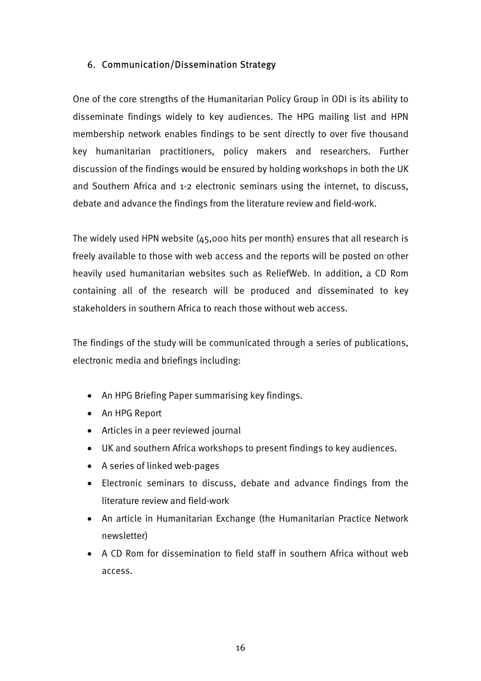## 6. Communication/Dissemination Strategy

One of the core strengths of the Humanitarian Policy Group in ODI is its ability to disseminate findings widely to key audiences. The HPG mailing list and HPN membership network enables findings to be sent directly to over five thousand key humanitarian practitioners, policy makers and researchers. Further discussion of the findings would be ensured by holding workshops in both the UK and Southern Africa and 1-2 electronic seminars using the internet, to discuss, debate and advance the findings from the literature review and field-work.

The widely used HPN website (45,000 hits per month) ensures that all research is freely available to those with web access and the reports will be posted on other heavily used humanitarian websites such as ReliefWeb. In addition, a CD Rom containing all of the research will be produced and disseminated to key stakeholders in southern Africa to reach those without web access.

The findings of the study will be communicated through a series of publications, electronic media and briefings including:

- An HPG Briefing Paper summarising key findings.
- An HPG Report
- Articles in a peer reviewed journal
- UK and southern Africa workshops to present findings to key audiences.
- A series of linked web-pages
- Electronic seminars to discuss, debate and advance findings from the literature review and field-work
- An article in Humanitarian Exchange (the Humanitarian Practice Network newsletter)
- A CD Rom for dissemination to field staff in southern Africa without web access.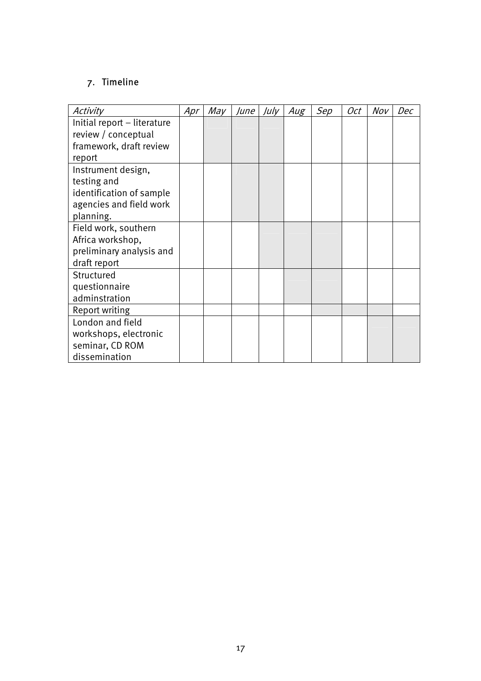# 7. Timeline

| Activity                    | Apr | May | June | July | Aug | Sep | Oct | Nov | Dec |
|-----------------------------|-----|-----|------|------|-----|-----|-----|-----|-----|
| Initial report - literature |     |     |      |      |     |     |     |     |     |
| review / conceptual         |     |     |      |      |     |     |     |     |     |
| framework, draft review     |     |     |      |      |     |     |     |     |     |
| report                      |     |     |      |      |     |     |     |     |     |
| Instrument design,          |     |     |      |      |     |     |     |     |     |
| testing and                 |     |     |      |      |     |     |     |     |     |
| identification of sample    |     |     |      |      |     |     |     |     |     |
| agencies and field work     |     |     |      |      |     |     |     |     |     |
| planning.                   |     |     |      |      |     |     |     |     |     |
| Field work, southern        |     |     |      |      |     |     |     |     |     |
| Africa workshop,            |     |     |      |      |     |     |     |     |     |
| preliminary analysis and    |     |     |      |      |     |     |     |     |     |
| draft report                |     |     |      |      |     |     |     |     |     |
| Structured                  |     |     |      |      |     |     |     |     |     |
| questionnaire               |     |     |      |      |     |     |     |     |     |
| adminstration               |     |     |      |      |     |     |     |     |     |
| Report writing              |     |     |      |      |     |     |     |     |     |
| London and field            |     |     |      |      |     |     |     |     |     |
| workshops, electronic       |     |     |      |      |     |     |     |     |     |
| seminar, CD ROM             |     |     |      |      |     |     |     |     |     |
| dissemination               |     |     |      |      |     |     |     |     |     |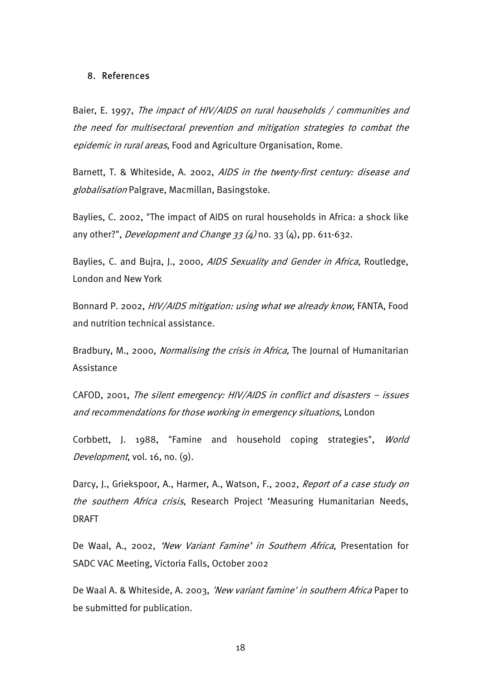#### 8. References

Baier, E. 1997, The impact of HIV/AIDS on rural households / communities and the need for multisectoral prevention and mitigation strategies to combat the epidemic in rural areas, Food and Agriculture Organisation, Rome.

Barnett, T. & Whiteside, A. 2002, AIDS in the twenty-first century: disease and globalisation Palgrave, Macmillan, Basingstoke.

Baylies, C. 2002, "The impact of AIDS on rural households in Africa: a shock like any other?", *Development and Change 33 (4)* no. 33 (4), pp. 611-632.

Baylies, C. and Bujra, J., 2000, AIDS Sexuality and Gender in Africa, Routledge, London and New York

Bonnard P. 2002, HIV/AIDS mitigation: using what we already know, FANTA, Food and nutrition technical assistance.

Bradbury, M., 2000, *Normalising the crisis in Africa*. The Journal of Humanitarian Assistance

CAFOD, 2001, The silent emergency: HIV/AIDS in conflict and disasters – issues and recommendations for those working in emergency situations, London

Corbbett, J. 1988, "Famine and household coping strategies", World Development, vol. 16, no. (9).

Darcy, J., Griekspoor, A., Harmer, A., Watson, F., 2002, Report of a case study on the southern Africa crisis, Research Project 'Measuring Humanitarian Needs, DRAFT

De Waal, A., 2002, 'New Variant Famine' in Southern Africa, Presentation for SADC VAC Meeting, Victoria Falls, October 2002

De Waal A. & Whiteside, A. 2003, 'New variant famine' in southern Africa Paper to be submitted for publication.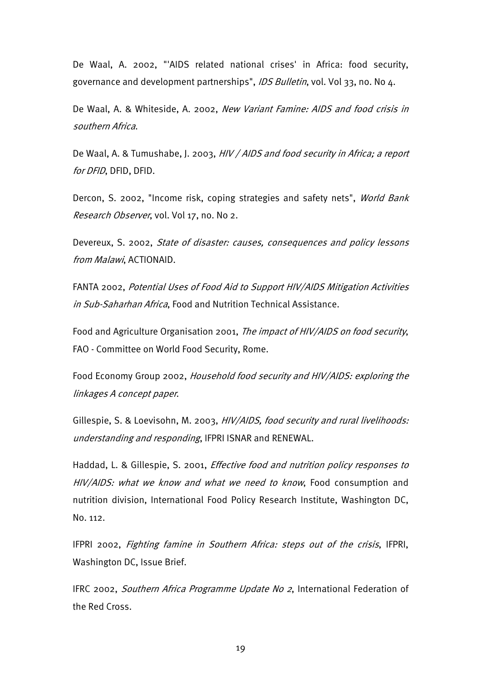De Waal, A. 2002, "'AIDS related national crises' in Africa: food security, governance and development partnerships", IDS Bulletin, vol. Vol 33, no. No 4.

De Waal, A. & Whiteside, A. 2002, New Variant Famine: AIDS and food crisis in southern Africa.

De Waal, A. & Tumushabe, J. 2003, HIV / AIDS and food security in Africa; a report for DFID, DFID, DFID.

Dercon, S. 2002, "Income risk, coping strategies and safety nets", World Bank Research Observer, vol. Vol 17, no. No 2.

Devereux, S. 2002, State of disaster: causes, consequences and policy lessons from Malawi, ACTIONAID.

FANTA 2002, Potential Uses of Food Aid to Support HIV/AIDS Mitigation Activities in Sub-Saharhan Africa, Food and Nutrition Technical Assistance.

Food and Agriculture Organisation 2001, The impact of HIV/AIDS on food security, FAO - Committee on World Food Security, Rome.

Food Economy Group 2002, Household food security and HIV/AIDS: exploring the linkages A concept paper.

Gillespie, S. & Loevisohn, M. 2003, HIV/AIDS, food security and rural livelihoods: understanding and responding, IFPRI ISNAR and RENEWAL.

Haddad, L. & Gillespie, S. 2001, Effective food and nutrition policy responses to HIV/AIDS: what we know and what we need to know, Food consumption and nutrition division, International Food Policy Research Institute, Washington DC, No. 112.

IFPRI 2002, Fighting famine in Southern Africa: steps out of the crisis, IFPRI, Washington DC, Issue Brief.

IFRC 2002, Southern Africa Programme Update No 2, International Federation of the Red Cross.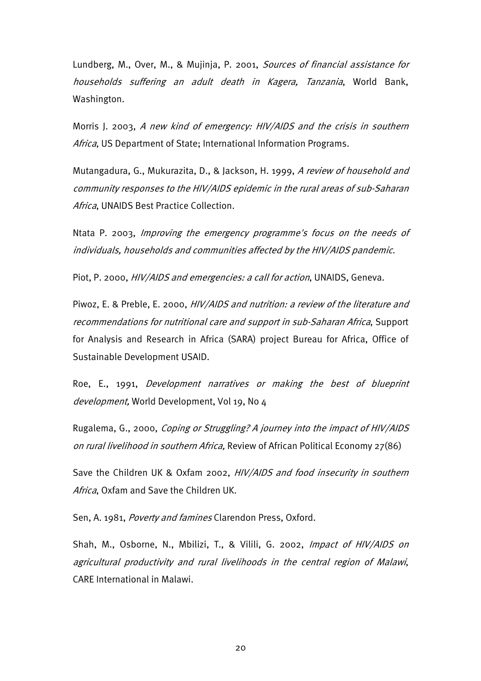Lundberg, M., Over, M., & Mujinja, P. 2001, Sources of financial assistance for households suffering an adult death in Kagera, Tanzania, World Bank, Washington.

Morris J. 2003, A new kind of emergency: HIV/AIDS and the crisis in southern Africa, US Department of State; International Information Programs.

Mutangadura, G., Mukurazita, D., & Jackson, H. 1999, A review of household and community responses to the HIV/AIDS epidemic in the rural areas of sub-Saharan Africa, UNAIDS Best Practice Collection.

Ntata P. 2003, Improving the emergency programme's focus on the needs of individuals, households and communities affected by the HIV/AIDS pandemic.

Piot, P. 2000, HIV/AIDS and emergencies: a call for action, UNAIDS, Geneva.

Piwoz, E. & Preble, E. 2000, HIV/AIDS and nutrition: a review of the literature and recommendations for nutritional care and support in sub-Saharan Africa, Support for Analysis and Research in Africa (SARA) project Bureau for Africa, Office of Sustainable Development USAID.

Roe, E., 1991, Development narratives or making the best of blueprint development, World Development, Vol 19, No 4

Rugalema, G., 2000, Coping or Struggling? A journey into the impact of HIV/AIDS on rural livelihood in southern Africa, Review of African Political Economy 27(86)

Save the Children UK & Oxfam 2002, HIV/AIDS and food insecurity in southern Africa, Oxfam and Save the Children UK.

Sen, A. 1981, Poverty and famines Clarendon Press, Oxford.

Shah, M., Osborne, N., Mbilizi, T., & Vilili, G. 2002, *Impact of HIV/AIDS on* agricultural productivity and rural livelihoods in the central region of Malawi, CARE International in Malawi.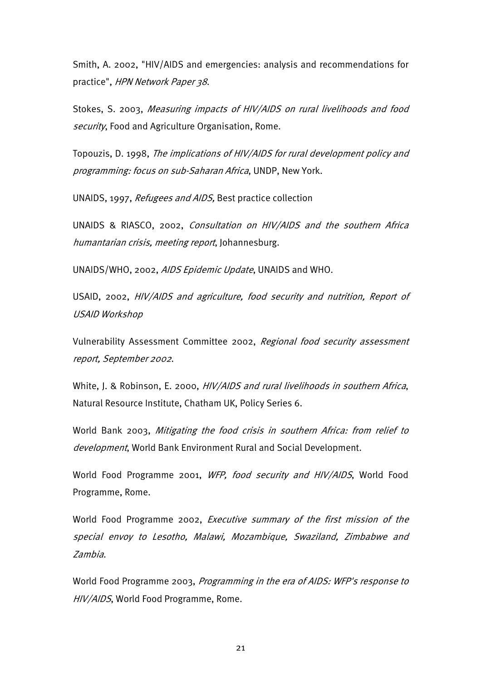Smith, A. 2002, "HIV/AIDS and emergencies: analysis and recommendations for practice", HPN Network Paper 38.

Stokes, S. 2003, Measuring impacts of HIV/AIDS on rural livelihoods and food security, Food and Agriculture Organisation, Rome.

Topouzis, D. 1998, The implications of HIV/AIDS for rural development policy and programming: focus on sub-Saharan Africa, UNDP, New York.

UNAIDS, 1997, Refugees and AIDS, Best practice collection

UNAIDS & RIASCO, 2002, Consultation on HIV/AIDS and the southern Africa humantarian crisis, meeting report, Johannesburg.

UNAIDS/WHO, 2002, AIDS Epidemic Update, UNAIDS and WHO.

USAID, 2002, HIV/AIDS and agriculture, food security and nutrition, Report of USAID Workshop

Vulnerability Assessment Committee 2002, Regional food security assessment report, September 2002.

White, J. & Robinson, E. 2000, HIV/AIDS and rural livelihoods in southern Africa, Natural Resource Institute, Chatham UK, Policy Series 6.

World Bank 2003, Mitigating the food crisis in southern Africa: from relief to development, World Bank Environment Rural and Social Development.

World Food Programme 2001, WFP, food security and HIV/AIDS, World Food Programme, Rome.

World Food Programme 2002, Executive summary of the first mission of the special envoy to Lesotho, Malawi, Mozambique, Swaziland, Zimbabwe and Zambia.

World Food Programme 2003, Programming in the era of AIDS: WFP's response to HIV/AIDS, World Food Programme, Rome.